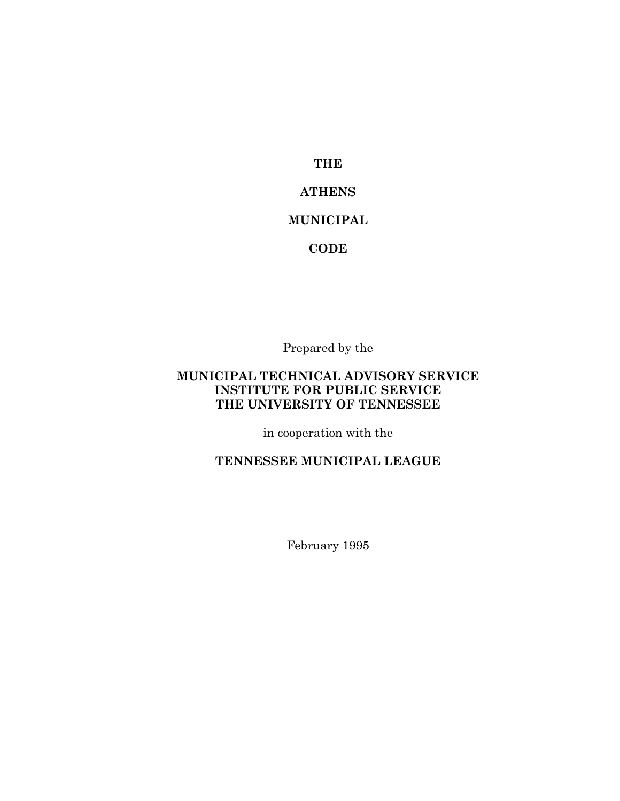**THE ATHENS MUNICIPAL CODE**

Prepared by the

## **MUNICIPAL TECHNICAL ADVISORY SERVICE INSTITUTE FOR PUBLIC SERVICE THE UNIVERSITY OF TENNESSEE**

in cooperation with the

## **TENNESSEE MUNICIPAL LEAGUE**

February 1995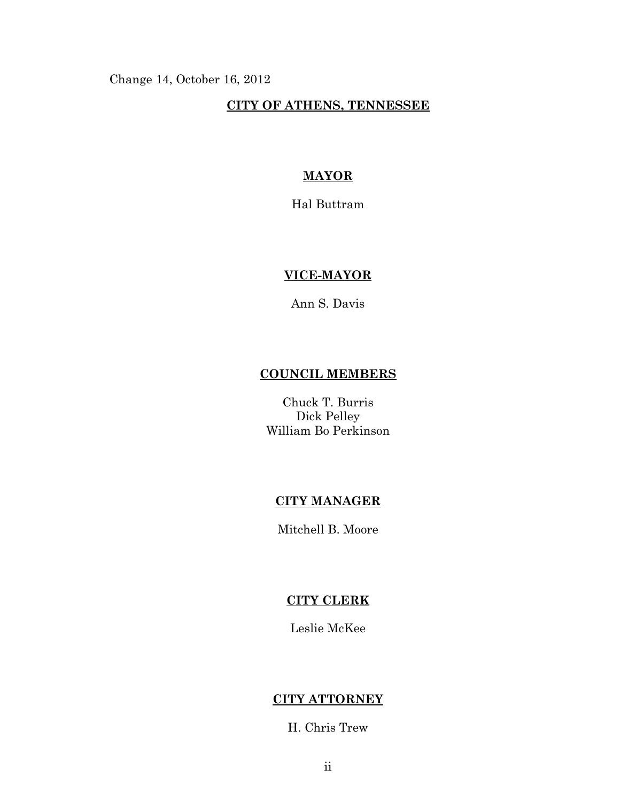Change 14, October 16, 2012

#### **CITY OF ATHENS, TENNESSEE**

### **MAYOR**

Hal Buttram

# **VICE-MAYOR**

Ann S. Davis

# **COUNCIL MEMBERS**

Chuck T. Burris Dick Pelley William Bo Perkinson

## **CITY MANAGER**

Mitchell B. Moore

## **CITY CLERK**

Leslie McKee

### **CITY ATTORNEY**

H. Chris Trew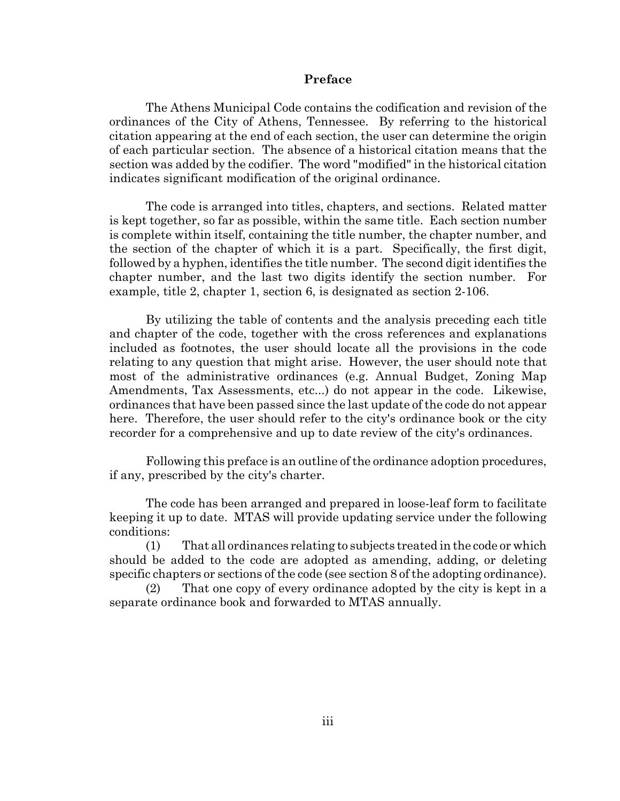#### **Preface**

The Athens Municipal Code contains the codification and revision of the ordinances of the City of Athens, Tennessee. By referring to the historical citation appearing at the end of each section, the user can determine the origin of each particular section. The absence of a historical citation means that the section was added by the codifier. The word "modified" in the historical citation indicates significant modification of the original ordinance.

The code is arranged into titles, chapters, and sections. Related matter is kept together, so far as possible, within the same title. Each section number is complete within itself, containing the title number, the chapter number, and the section of the chapter of which it is a part. Specifically, the first digit, followed by a hyphen, identifies the title number. The second digit identifies the chapter number, and the last two digits identify the section number. For example, title 2, chapter 1, section 6, is designated as section 2-106.

By utilizing the table of contents and the analysis preceding each title and chapter of the code, together with the cross references and explanations included as footnotes, the user should locate all the provisions in the code relating to any question that might arise. However, the user should note that most of the administrative ordinances (e.g. Annual Budget, Zoning Map Amendments, Tax Assessments, etc...) do not appear in the code. Likewise, ordinances that have been passed since the last update of the code do not appear here. Therefore, the user should refer to the city's ordinance book or the city recorder for a comprehensive and up to date review of the city's ordinances.

Following this preface is an outline of the ordinance adoption procedures, if any, prescribed by the city's charter.

The code has been arranged and prepared in loose-leaf form to facilitate keeping it up to date. MTAS will provide updating service under the following conditions:

(1) That all ordinances relating to subjects treated in the code or which should be added to the code are adopted as amending, adding, or deleting specific chapters or sections of the code (see section 8 of the adopting ordinance).

(2) That one copy of every ordinance adopted by the city is kept in a separate ordinance book and forwarded to MTAS annually.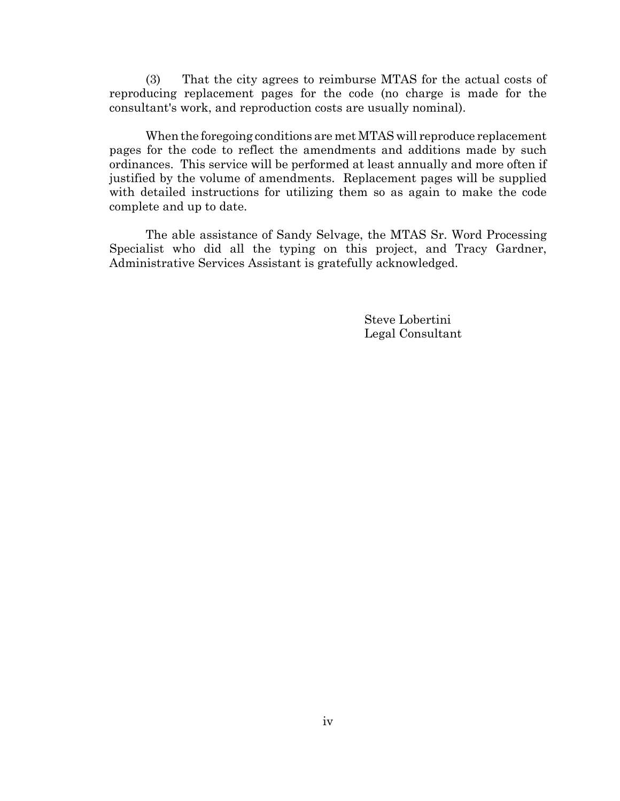(3) That the city agrees to reimburse MTAS for the actual costs of reproducing replacement pages for the code (no charge is made for the consultant's work, and reproduction costs are usually nominal).

When the foregoing conditions are met MTAS will reproduce replacement pages for the code to reflect the amendments and additions made by such ordinances. This service will be performed at least annually and more often if justified by the volume of amendments. Replacement pages will be supplied with detailed instructions for utilizing them so as again to make the code complete and up to date.

The able assistance of Sandy Selvage, the MTAS Sr. Word Processing Specialist who did all the typing on this project, and Tracy Gardner, Administrative Services Assistant is gratefully acknowledged.

> Steve Lobertini Legal Consultant